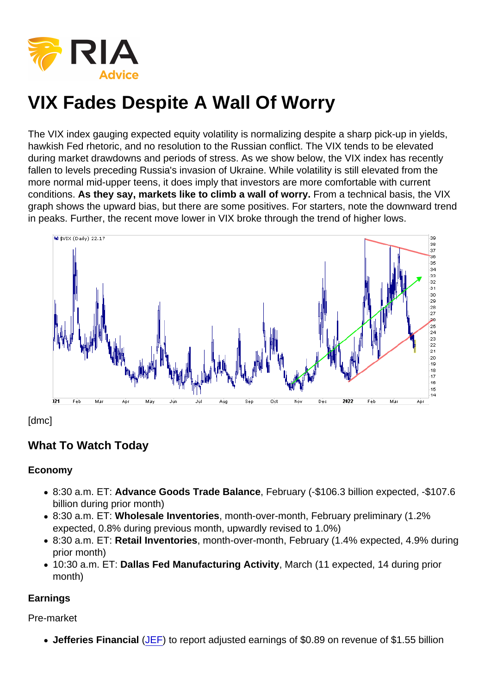The VIX index gauging expected equity volatility is normalizing despite a sharp pick-up in yields, hawkish Fed rhetoric, and no resolution to the Russian conflict. The VIX tends to be elevated during market drawdowns and periods of stress. As we show below, the VIX index has recently fallen to levels preceding Russia's invasion of Ukraine. While volatility is still elevated from the more normal mid-upper teens, it does imply that investors are more comfortable with current conditions. As they say, markets like to climb a wall of worry. From a technical basis, the VIX graph shows the upward bias, but there are some positives. For starters, note the downward trend in peaks. Further, the recent move lower in VIX broke through the trend of higher lows.

[dmc]

What To Watch Today

Economy

- 8:30 a.m. ET: Advance Goods Trade Balance , February (-\$106.3 billion expected, -\$107.6 billion during prior month)
- 8:30 a.m. ET: Wholesale Inventories , month-over-month, February preliminary (1.2% expected, 0.8% during previous month, upwardly revised to 1.0%)
- 8:30 a.m. ET: Retail Inventories , month-over-month, February (1.4% expected, 4.9% during prior month)
- 10:30 a.m. ET: Dallas Fed Manufacturing Activity , March (11 expected, 14 during prior month)

Earnings

Pre-market

• Jefferies Financial [\(JEF](https://finance.yahoo.com/quote/JEF?p=JEF&.tsrc=fin-srch)) to report adjusted earnings of \$0.89 on revenue of \$1.55 billion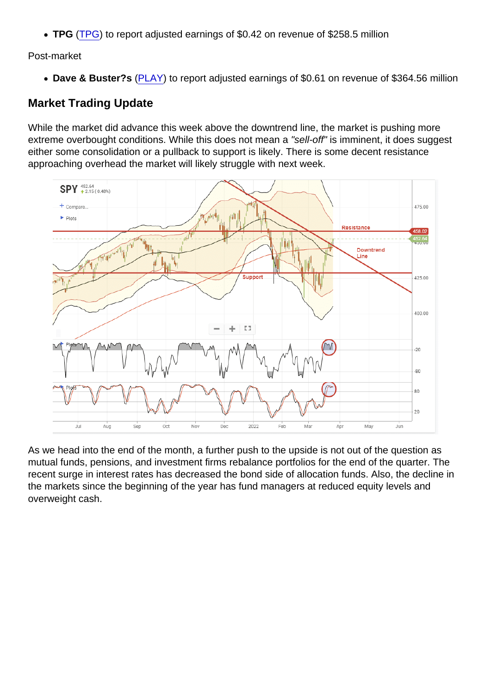TPG [\(TPG\)](https://finance.yahoo.com/quote/TPG?p=TPG&.tsrc=fin-srch) to report adjusted earnings of \$0.42 on revenue of \$258.5 million

Post-market

• Dave & Buster?s [\(PLAY](https://finance.yahoo.com/quote/PLAY?p=PLAY&.tsrc=fin-srch)) to report adjusted earnings of \$0.61 on revenue of \$364.56 million

## Market Trading Update

While the market did advance this week above the downtrend line, the market is pushing more extreme overbought conditions. While this does not mean a "sell-off" is imminent, it does suggest either some consolidation or a pullback to support is likely. There is some decent resistance approaching overhead the market will likely struggle with next week.

As we head into the end of the month, a further push to the upside is not out of the question as mutual funds, pensions, and investment firms rebalance portfolios for the end of the quarter. The recent surge in interest rates has decreased the bond side of allocation funds. Also, the decline in the markets since the beginning of the year has fund managers at reduced equity levels and overweight cash.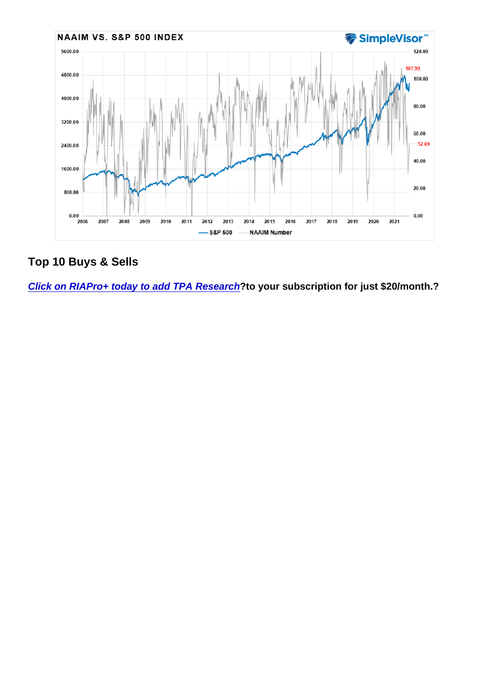Top 10 Buys & Sells

[Click on RIAPro+ today to add TPA Research](https://riapro.net/portfolio/tpa-research) 2to your subscription for just \$20/month.?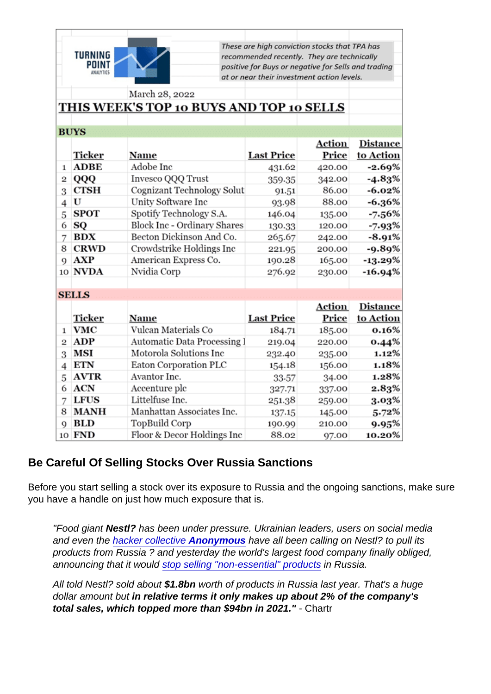### Be Careful Of Selling Stocks Over Russia Sanctions

Before you start selling a stock over its exposure to Russia and the ongoing sanctions, make sure you have a handle on just how much exposure that is.

"Food giant Nestl? has been under pressure. Ukrainian leaders, users on social media and even the [hacker collective Anonymous](https://gizmodo.com/nestle-denies-anonymous-hack-claims-says-it-leaked-dat-1848691484) have all been calling on Nestl? to pull its products from Russia ? and yesterday the world's largest food company finally obliged, announcing that it would [stop selling "non-essential" products](https://www.theguardian.com/business/2022/mar/23/nestle-stops-production-sales-non-essential-goods-russia-ukraine) in Russia.

All told Nestl? sold about \$1.8bn worth of products in Russia last year. That's a huge dollar amount but in relative terms it only makes up about 2% of the company's total sales, which topped more than \$94bn in 2021." - Chartr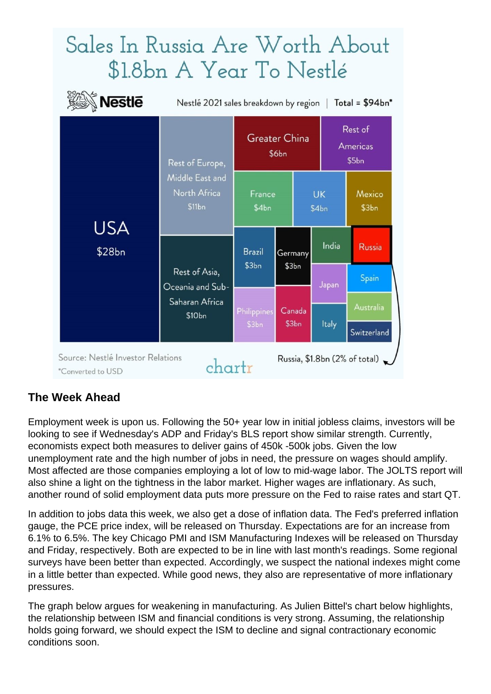# Sales In Russia Are Worth About \$1.8bn A Year To Nestlé

| Nestlé                                                                                                       | Total = $$94bn*$<br>Nestlé 2021 sales breakdown by region                 |                               |                  |                    |                              |  |
|--------------------------------------------------------------------------------------------------------------|---------------------------------------------------------------------------|-------------------------------|------------------|--------------------|------------------------------|--|
| USA<br>\$28bn                                                                                                | Rest of Europe,<br>Middle East and<br>North Africa<br>\$11bn              | <b>Greater China</b><br>\$6bn |                  |                    | Rest of<br>Americas<br>\$5bn |  |
|                                                                                                              |                                                                           | France<br>\$4bn               |                  | <b>UK</b><br>\$4bn | Mexico<br>\$3bn              |  |
|                                                                                                              | Rest of Asia,<br>Oceania and Sub-<br>Saharan Africa<br>\$10 <sub>bn</sub> | <b>Brazil</b><br>\$3bn        | Germany<br>\$3bn | India              | Russia                       |  |
|                                                                                                              |                                                                           | Philippines<br>\$3bn          | Canada           | Japan              | <b>Spain</b><br>Australia    |  |
|                                                                                                              |                                                                           |                               | \$3bn            | Italy              | Switzerland                  |  |
| Source: Nestlé Investor Relations<br>Russia, \$1.8bn $(2\% \text{ of total})$<br>chartr<br>*Converted to USD |                                                                           |                               |                  |                    |                              |  |

# **The Week Ahead**

Employment week is upon us. Following the 50+ year low in initial jobless claims, investors will be looking to see if Wednesday's ADP and Friday's BLS report show similar strength. Currently, economists expect both measures to deliver gains of 450k -500k jobs. Given the low unemployment rate and the high number of jobs in need, the pressure on wages should amplify. Most affected are those companies employing a lot of low to mid-wage labor. The JOLTS report will also shine a light on the tightness in the labor market. Higher wages are inflationary. As such, another round of solid employment data puts more pressure on the Fed to raise rates and start QT.

In addition to jobs data this week, we also get a dose of inflation data. The Fed's preferred inflation gauge, the PCE price index, will be released on Thursday. Expectations are for an increase from 6.1% to 6.5%. The key Chicago PMI and ISM Manufacturing Indexes will be released on Thursday and Friday, respectively. Both are expected to be in line with last month's readings. Some regional surveys have been better than expected. Accordingly, we suspect the national indexes might come in a little better than expected. While good news, they also are representative of more inflationary pressures.

The graph below argues for weakening in manufacturing. As Julien Bittel's chart below highlights, the relationship between ISM and financial conditions is very strong. Assuming, the relationship holds going forward, we should expect the ISM to decline and signal contractionary economic conditions soon.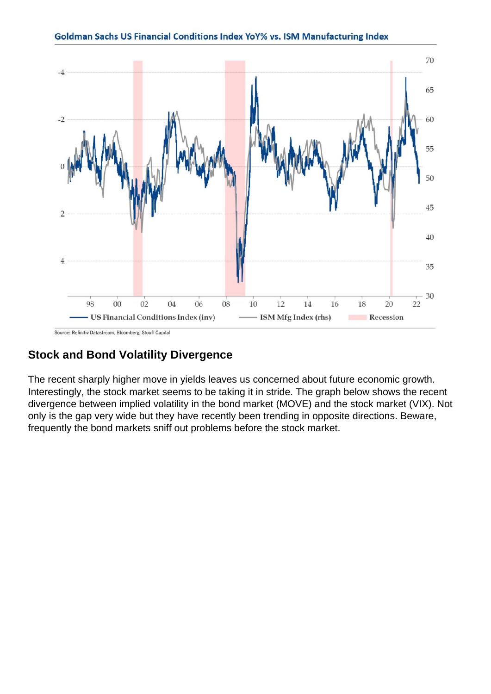### Stock and Bond Volatility Divergence

The recent sharply higher move in yields leaves us concerned about future economic growth. Interestingly, the stock market seems to be taking it in stride. The graph below shows the recent divergence between implied volatility in the bond market (MOVE) and the stock market (VIX). Not only is the gap very wide but they have recently been trending in opposite directions. Beware, frequently the bond markets sniff out problems before the stock market.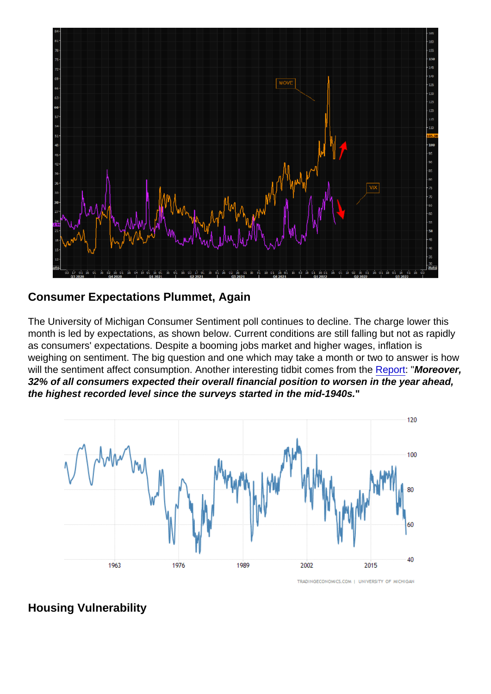## Consumer Expectations Plummet, Again

The University of Michigan Consumer Sentiment poll continues to decline. The charge lower this month is led by expectations, as shown below. Current conditions are still falling but not as rapidly as consumers' expectations. Despite a booming jobs market and higher wages, inflation is weighing on sentiment. The big question and one which may take a month or two to answer is how will the sentiment affect consumption. Another interesting tidbit comes from the [Report:](http://www.sca.isr.umich.edu/) "Moreover, 32% of all consumers expected their overall financial position to worsen in the year ahead, the highest recorded level since the surveys started in the mid-1940s.

Housing Vulnerability